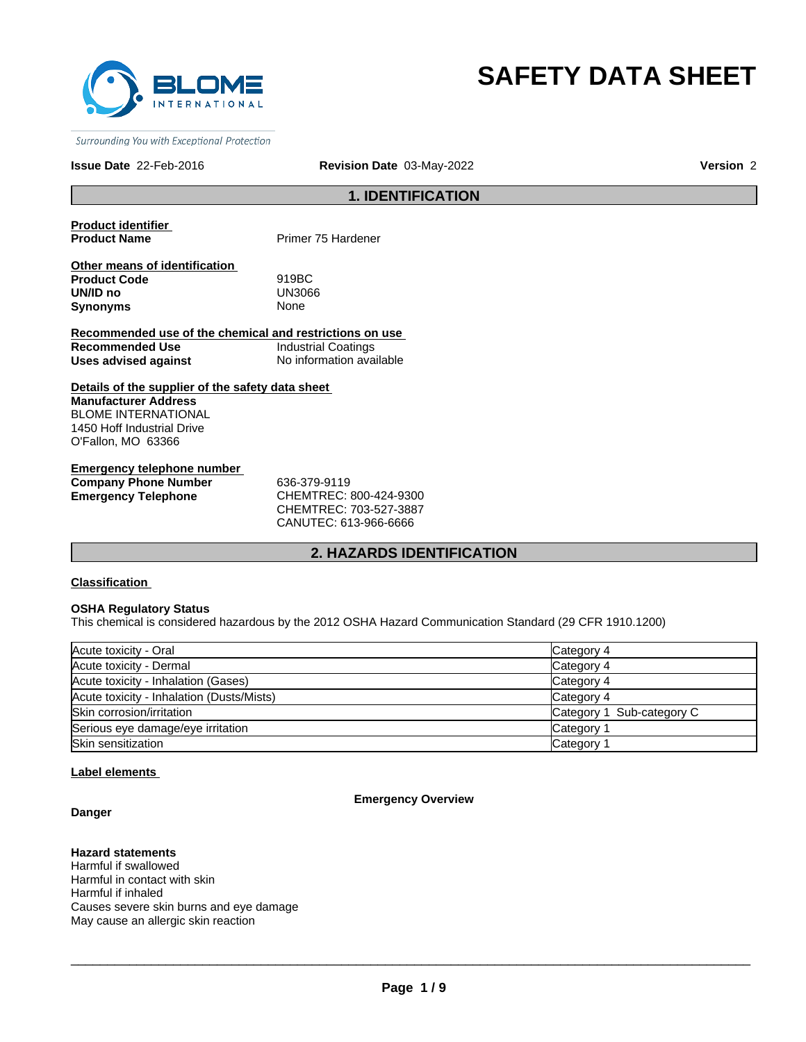

# **SAFETY DATA SHEET**

Surrounding You with Exceptional Protection

## **Issue Date** 22-Feb-2016 **Revision Date** 03-May-2022 **Version** 2

## **1. IDENTIFICATION**

**Product identifier** 

**Primer 75 Hardener** 

| Other means of identification |             |
|-------------------------------|-------------|
| <b>Product Code</b>           | 919BC       |
| UN/ID no                      | UN3066      |
| Synonyms                      | <b>None</b> |

**Recommended use of the chemical and restrictions on use Recommended Use Industrial Coatings**<br> **Uses advised against Internation** No information available **Uses advised against** 

**Details of the supplier of the safety data sheet Manufacturer Address** BLOME INTERNATIONAL 1450 Hoff Industrial Drive O'Fallon, MO 63366

**Emergency telephone number Company Phone Number** 636-379-9119 **Emergency Telephone** CHEMTREC: 800-424-9300

CHEMTREC: 703-527-3887 CANUTEC: 613-966-6666

## **2. HAZARDS IDENTIFICATION**

## **Classification**

## **OSHA Regulatory Status**

This chemical is considered hazardous by the 2012 OSHA Hazard Communication Standard (29 CFR 1910.1200)

| Acute toxicity - Oral                     | Category 4                |
|-------------------------------------------|---------------------------|
| Acute toxicity - Dermal                   | Category 4                |
| Acute toxicity - Inhalation (Gases)       | Category 4                |
| Acute toxicity - Inhalation (Dusts/Mists) | Category 4                |
| Skin corrosion/irritation                 | Category 1 Sub-category C |
| Serious eye damage/eye irritation         | Category                  |
| Skin sensitization                        | Category 1                |

## **Label elements**

## **Danger**

## **Emergency Overview**

## **Hazard statements**

Harmful if swallowed Harmful in contact with skin Harmful if inhaled Causes severe skin burns and eye damage May cause an allergic skin reaction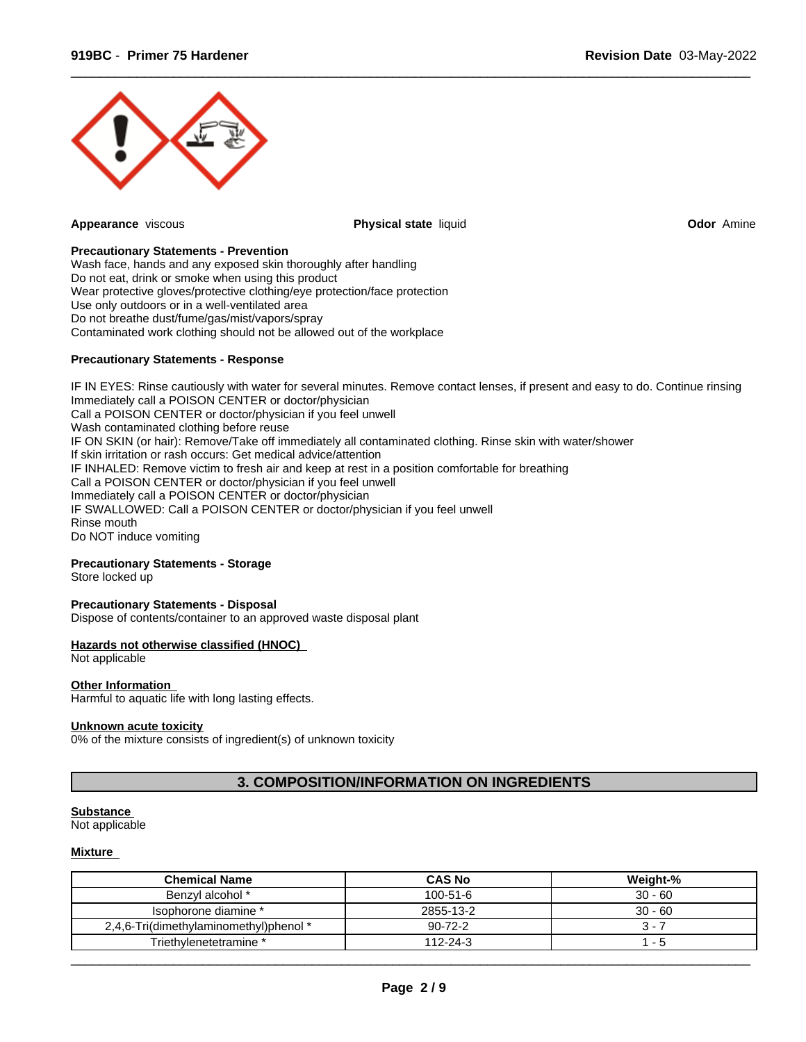

**Appearance** viscous **Physical state** liquid **Odor** Amine

 $\overline{\phantom{a}}$  ,  $\overline{\phantom{a}}$  ,  $\overline{\phantom{a}}$  ,  $\overline{\phantom{a}}$  ,  $\overline{\phantom{a}}$  ,  $\overline{\phantom{a}}$  ,  $\overline{\phantom{a}}$  ,  $\overline{\phantom{a}}$  ,  $\overline{\phantom{a}}$  ,  $\overline{\phantom{a}}$  ,  $\overline{\phantom{a}}$  ,  $\overline{\phantom{a}}$  ,  $\overline{\phantom{a}}$  ,  $\overline{\phantom{a}}$  ,  $\overline{\phantom{a}}$  ,  $\overline{\phantom{a}}$ 

## **Precautionary Statements - Prevention**

Wash face, hands and any exposed skin thoroughly after handling Do not eat, drink or smoke when using this product Wear protective gloves/protective clothing/eye protection/face protection Use only outdoors or in a well-ventilated area Do not breathe dust/fume/gas/mist/vapors/spray Contaminated work clothing should not be allowed out of the workplace

## **Precautionary Statements - Response**

IF IN EYES: Rinse cautiously with water for several minutes. Remove contact lenses, if present and easy to do. Continue rinsing Immediately call a POISON CENTER or doctor/physician Call a POISON CENTER or doctor/physician if you feel unwell Wash contaminated clothing before reuse IF ON SKIN (or hair): Remove/Take off immediately all contaminated clothing. Rinse skin with water/shower If skin irritation or rash occurs: Get medical advice/attention IF INHALED: Remove victim to fresh air and keep at rest in a position comfortable for breathing Call a POISON CENTER or doctor/physician if you feel unwell Immediately call a POISON CENTER or doctor/physician IF SWALLOWED: Call a POISON CENTER or doctor/physician if you feel unwell Rinse mouth Do NOT induce vomiting

## **Precautionary Statements - Storage**

Store locked up

#### **Precautionary Statements - Disposal**

Dispose of contents/container to an approved waste disposal plant

#### **Hazards not otherwise classified (HNOC)**

Not applicable

## **Other Information**

Harmful to aquatic life with long lasting effects.

#### **Unknown acute toxicity**

0% of the mixture consists of ingredient(s) of unknown toxicity

## **3. COMPOSITION/INFORMATION ON INGREDIENTS**

#### **Substance**

Not applicable

## **Mixture**

| <b>Chemical Name</b>                   | <b>CAS No</b> | Weight-%  |
|----------------------------------------|---------------|-----------|
| Benzyl alcohol *                       | 100-51-6      | $30 - 60$ |
| Isophorone diamine *                   | 2855-13-2     | $30 - 60$ |
| 2,4,6-Tri(dimethylaminomethyl)phenol * | $90 - 72 - 2$ | . .       |
| Triethvlenetetramine *                 | 112-24-3      | - 5       |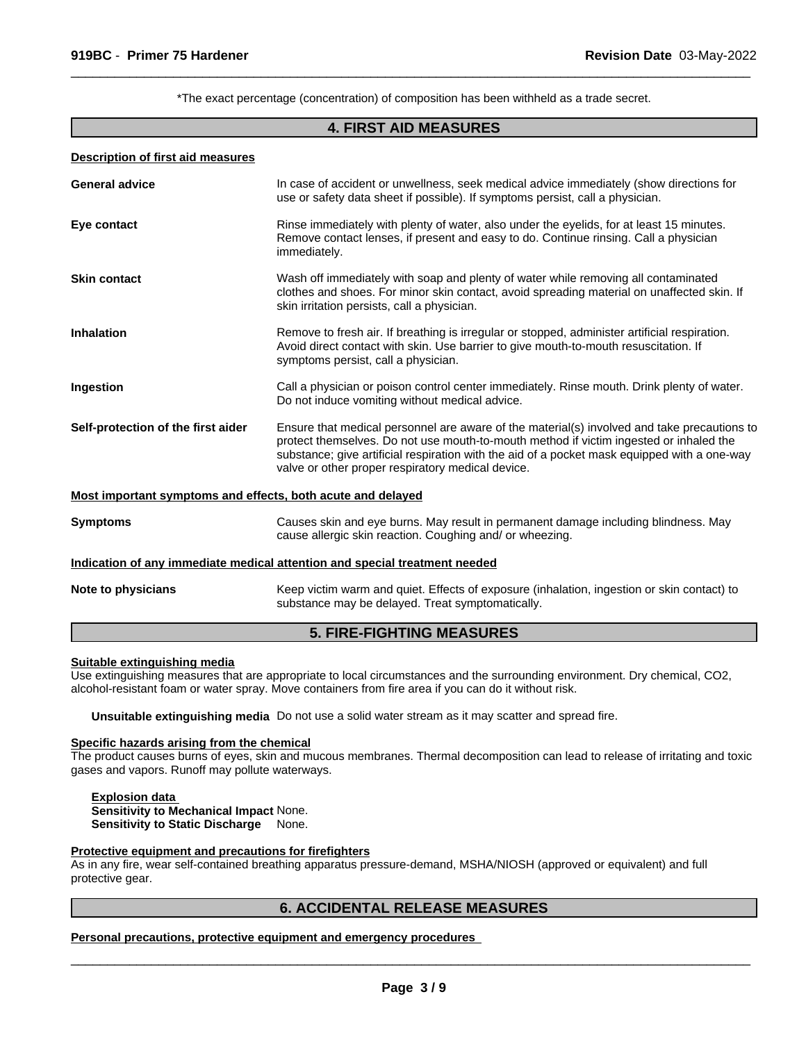\*The exact percentage (concentration) of composition has been withheld as a trade secret.

 $\overline{\phantom{a}}$  ,  $\overline{\phantom{a}}$  ,  $\overline{\phantom{a}}$  ,  $\overline{\phantom{a}}$  ,  $\overline{\phantom{a}}$  ,  $\overline{\phantom{a}}$  ,  $\overline{\phantom{a}}$  ,  $\overline{\phantom{a}}$  ,  $\overline{\phantom{a}}$  ,  $\overline{\phantom{a}}$  ,  $\overline{\phantom{a}}$  ,  $\overline{\phantom{a}}$  ,  $\overline{\phantom{a}}$  ,  $\overline{\phantom{a}}$  ,  $\overline{\phantom{a}}$  ,  $\overline{\phantom{a}}$ 

## **4. FIRST AID MEASURES**

#### **Description of first aid measures**

| <b>General advice</b>                                       | In case of accident or unwellness, seek medical advice immediately (show directions for<br>use or safety data sheet if possible). If symptoms persist, call a physician.                                                                                                                                                                   |
|-------------------------------------------------------------|--------------------------------------------------------------------------------------------------------------------------------------------------------------------------------------------------------------------------------------------------------------------------------------------------------------------------------------------|
| Eye contact                                                 | Rinse immediately with plenty of water, also under the eyelids, for at least 15 minutes.<br>Remove contact lenses, if present and easy to do. Continue rinsing. Call a physician<br>immediately.                                                                                                                                           |
| <b>Skin contact</b>                                         | Wash off immediately with soap and plenty of water while removing all contaminated<br>clothes and shoes. For minor skin contact, avoid spreading material on unaffected skin. If<br>skin irritation persists, call a physician.                                                                                                            |
| <b>Inhalation</b>                                           | Remove to fresh air. If breathing is irregular or stopped, administer artificial respiration.<br>Avoid direct contact with skin. Use barrier to give mouth-to-mouth resuscitation. If<br>symptoms persist, call a physician.                                                                                                               |
| Ingestion                                                   | Call a physician or poison control center immediately. Rinse mouth. Drink plenty of water.<br>Do not induce vomiting without medical advice.                                                                                                                                                                                               |
| Self-protection of the first aider                          | Ensure that medical personnel are aware of the material(s) involved and take precautions to<br>protect themselves. Do not use mouth-to-mouth method if victim ingested or inhaled the<br>substance; give artificial respiration with the aid of a pocket mask equipped with a one-way<br>valve or other proper respiratory medical device. |
| Most important symptoms and effects, both acute and delayed |                                                                                                                                                                                                                                                                                                                                            |
| <b>Symptoms</b>                                             | Causes skin and eye burns. May result in permanent damage including blindness. May<br>cause allergic skin reaction. Coughing and/ or wheezing.                                                                                                                                                                                             |
|                                                             | Indication of any immediate medical attention and special treatment needed                                                                                                                                                                                                                                                                 |
| Note to physicians                                          | Keep victim warm and quiet. Effects of exposure (inhalation, ingestion or skin contact) to<br>substance may be delayed. Treat symptomatically.                                                                                                                                                                                             |

# **5. FIRE-FIGHTING MEASURES**

#### **Suitable extinguishing media**

Use extinguishing measures that are appropriate to local circumstances and the surrounding environment. Dry chemical, CO2, alcohol-resistant foam or water spray. Move containers from fire area if you can do it without risk.

**Unsuitable extinguishing media** Do not use a solid water stream as it may scatter and spread fire.

# **Specific hazards arising from the chemical**

The product causes burns of eyes, skin and mucous membranes. Thermal decomposition can lead to release of irritating and toxic gases and vapors. Runoff may pollute waterways.

**Explosion data Sensitivity to Mechanical Impact** None. **Sensitivity to Static Discharge** None.

## **Protective equipment and precautions for firefighters**

As in any fire, wear self-contained breathing apparatus pressure-demand, MSHA/NIOSH (approved or equivalent) and full protective gear.

## **6. ACCIDENTAL RELEASE MEASURES**

**Personal precautions, protective equipment and emergency procedures**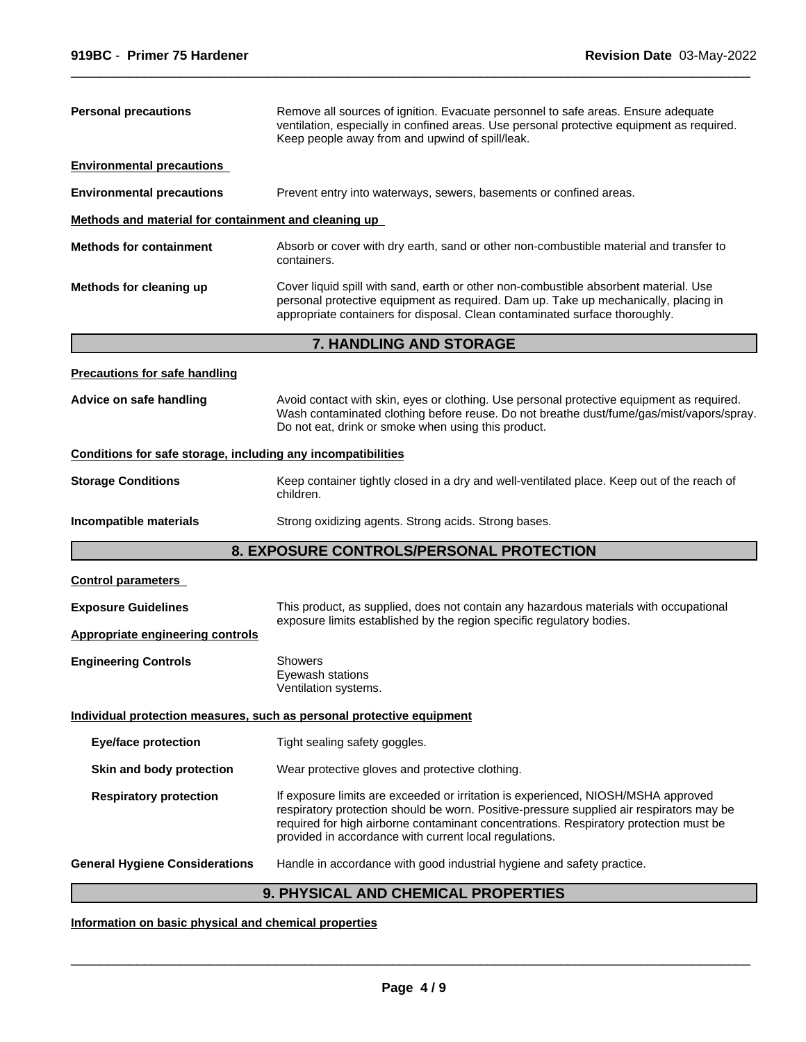| <b>Personal precautions</b>                                                                                                             | Remove all sources of ignition. Evacuate personnel to safe areas. Ensure adequate<br>ventilation, especially in confined areas. Use personal protective equipment as required.<br>Keep people away from and upwind of spill/leak.                                                                                                |  |
|-----------------------------------------------------------------------------------------------------------------------------------------|----------------------------------------------------------------------------------------------------------------------------------------------------------------------------------------------------------------------------------------------------------------------------------------------------------------------------------|--|
| <b>Environmental precautions</b>                                                                                                        |                                                                                                                                                                                                                                                                                                                                  |  |
| <b>Environmental precautions</b>                                                                                                        | Prevent entry into waterways, sewers, basements or confined areas.                                                                                                                                                                                                                                                               |  |
| Methods and material for containment and cleaning up                                                                                    |                                                                                                                                                                                                                                                                                                                                  |  |
| <b>Methods for containment</b><br>Absorb or cover with dry earth, sand or other non-combustible material and transfer to<br>containers. |                                                                                                                                                                                                                                                                                                                                  |  |
| Methods for cleaning up                                                                                                                 | Cover liquid spill with sand, earth or other non-combustible absorbent material. Use<br>personal protective equipment as required. Dam up. Take up mechanically, placing in<br>appropriate containers for disposal. Clean contaminated surface thoroughly.                                                                       |  |
|                                                                                                                                         | 7. HANDLING AND STORAGE                                                                                                                                                                                                                                                                                                          |  |
| <b>Precautions for safe handling</b>                                                                                                    |                                                                                                                                                                                                                                                                                                                                  |  |
| Advice on safe handling                                                                                                                 | Avoid contact with skin, eyes or clothing. Use personal protective equipment as required.<br>Wash contaminated clothing before reuse. Do not breathe dust/fume/gas/mist/vapors/spray.<br>Do not eat, drink or smoke when using this product.                                                                                     |  |
| Conditions for safe storage, including any incompatibilities                                                                            |                                                                                                                                                                                                                                                                                                                                  |  |
| <b>Storage Conditions</b>                                                                                                               | Keep container tightly closed in a dry and well-ventilated place. Keep out of the reach of<br>children.                                                                                                                                                                                                                          |  |
| Incompatible materials                                                                                                                  | Strong oxidizing agents. Strong acids. Strong bases.                                                                                                                                                                                                                                                                             |  |
|                                                                                                                                         | 8. EXPOSURE CONTROLS/PERSONAL PROTECTION                                                                                                                                                                                                                                                                                         |  |
| <b>Control parameters</b>                                                                                                               |                                                                                                                                                                                                                                                                                                                                  |  |
| <b>Exposure Guidelines</b>                                                                                                              | This product, as supplied, does not contain any hazardous materials with occupational                                                                                                                                                                                                                                            |  |
| <b>Appropriate engineering controls</b>                                                                                                 | exposure limits established by the region specific regulatory bodies.                                                                                                                                                                                                                                                            |  |
| <b>Engineering Controls</b>                                                                                                             | <b>Showers</b><br>Eyewash stations<br>Ventilation systems.                                                                                                                                                                                                                                                                       |  |
|                                                                                                                                         | Individual protection measures, such as personal protective equipment                                                                                                                                                                                                                                                            |  |
| <b>Eye/face protection</b>                                                                                                              | Tight sealing safety goggles.                                                                                                                                                                                                                                                                                                    |  |
| Skin and body protection                                                                                                                | Wear protective gloves and protective clothing.                                                                                                                                                                                                                                                                                  |  |
| <b>Respiratory protection</b>                                                                                                           | If exposure limits are exceeded or irritation is experienced, NIOSH/MSHA approved<br>respiratory protection should be worn. Positive-pressure supplied air respirators may be<br>required for high airborne contaminant concentrations. Respiratory protection must be<br>provided in accordance with current local regulations. |  |
| <b>General Hygiene Considerations</b>                                                                                                   | Handle in accordance with good industrial hygiene and safety practice.                                                                                                                                                                                                                                                           |  |
|                                                                                                                                         | 9. PHYSICAL AND CHEMICAL PROPERTIES                                                                                                                                                                                                                                                                                              |  |

**Information on basic physical and chemical properties**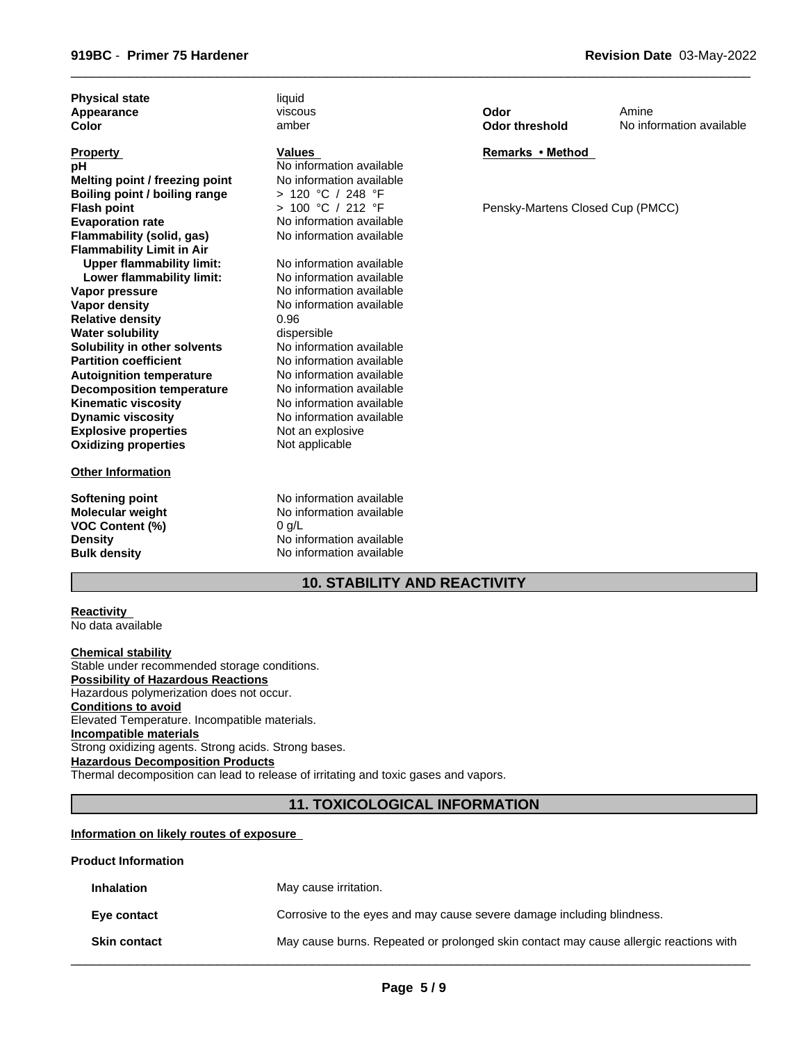| <b>Physical state</b>            | liquid                                    |                                  |                          |
|----------------------------------|-------------------------------------------|----------------------------------|--------------------------|
| Appearance                       | viscous                                   | Odor                             | Amine                    |
| <b>Color</b>                     | amber                                     | <b>Odor threshold</b>            | No information available |
|                                  |                                           |                                  |                          |
| <b>Property</b>                  | <b>Values</b><br>No information available | Remarks • Method                 |                          |
| рH                               | No information available                  |                                  |                          |
| Melting point / freezing point   |                                           |                                  |                          |
| Boiling point / boiling range    | > 120 °C / 248 °F<br>> 100 °C / 212 °F    |                                  |                          |
| <b>Flash point</b>               |                                           | Pensky-Martens Closed Cup (PMCC) |                          |
| <b>Evaporation rate</b>          | No information available                  |                                  |                          |
| Flammability (solid, gas)        | No information available                  |                                  |                          |
| <b>Flammability Limit in Air</b> |                                           |                                  |                          |
| <b>Upper flammability limit:</b> | No information available                  |                                  |                          |
| Lower flammability limit:        | No information available                  |                                  |                          |
| Vapor pressure                   | No information available                  |                                  |                          |
| Vapor density                    | No information available                  |                                  |                          |
| <b>Relative density</b>          | 0.96                                      |                                  |                          |
| <b>Water solubility</b>          | dispersible                               |                                  |                          |
| Solubility in other solvents     | No information available                  |                                  |                          |
| <b>Partition coefficient</b>     | No information available                  |                                  |                          |
| <b>Autoignition temperature</b>  | No information available                  |                                  |                          |
| <b>Decomposition temperature</b> | No information available                  |                                  |                          |
| <b>Kinematic viscosity</b>       | No information available                  |                                  |                          |
| <b>Dynamic viscosity</b>         | No information available                  |                                  |                          |
| <b>Explosive properties</b>      | Not an explosive                          |                                  |                          |
| <b>Oxidizing properties</b>      | Not applicable                            |                                  |                          |
| <b>Other Information</b>         |                                           |                                  |                          |
|                                  |                                           |                                  |                          |
| Softening point                  | No information available                  |                                  |                          |
| <b>Molecular weight</b>          | No information available                  |                                  |                          |
| <b>VOC Content (%)</b>           | $0$ g/L                                   |                                  |                          |
| <b>Density</b>                   | No information available                  |                                  |                          |
| <b>Bulk density</b>              | No information available                  |                                  |                          |

# **10. STABILITY AND REACTIVITY**

| <b>Reactivity</b> |  |
|-------------------|--|
| No data available |  |

**Chemical stability** Stable under recommended storage conditions. **Possibility of Hazardous Reactions** Hazardous polymerization does not occur. **Conditions to avoid** Elevated Temperature. Incompatible materials. **Incompatible materials** Strong oxidizing agents. Strong acids. Strong bases. **Hazardous Decomposition Products** Thermal decomposition can lead to release of irritating and toxic gases and vapors.

**11. TOXICOLOGICAL INFORMATION**

## **Information on likely routes of exposure**

## **Product Information**

| <b>Inhalation</b>   | May cause irritation.                                                                 |
|---------------------|---------------------------------------------------------------------------------------|
| Eye contact         | Corrosive to the eyes and may cause severe damage including blindness.                |
| <b>Skin contact</b> | May cause burns. Repeated or prolonged skin contact may cause allergic reactions with |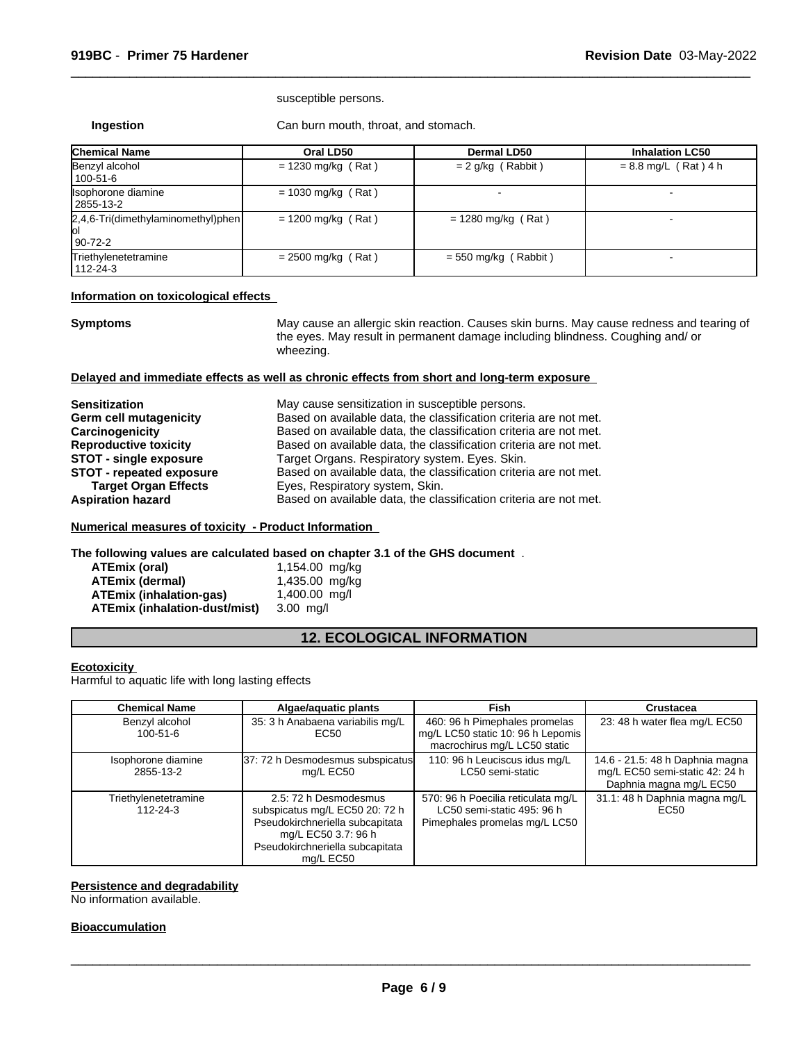#### susceptible persons.

**Ingestion** Can burn mouth, throat, and stomach.

| <b>Chemical Name</b>                                  | Oral LD50            | <b>Dermal LD50</b>     | <b>Inhalation LC50</b> |
|-------------------------------------------------------|----------------------|------------------------|------------------------|
| Benzyl alcohol<br>100-51-6                            | $= 1230$ mg/kg (Rat) | $= 2$ g/kg (Rabbit)    | $= 8.8$ mg/L (Rat) 4 h |
| Isophorone diamine<br>2855-13-2                       | $= 1030$ mg/kg (Rat) |                        |                        |
| 2,4,6-Tri(dimethylaminomethyl)phen<br>юI<br>  90-72-2 | $= 1200$ mg/kg (Rat) | $= 1280$ mg/kg (Rat)   |                        |
| Triethylenetetramine<br>  112-24-3                    | $= 2500$ mg/kg (Rat) | $= 550$ mg/kg (Rabbit) |                        |

## **Information on toxicological effects**

**Symptoms** May cause an allergic skin reaction. Causes skin burns. May cause redness and tearing of the eyes. May result in permanent damage including blindness. Coughing and/ or wheezing.

 $\overline{\phantom{a}}$  ,  $\overline{\phantom{a}}$  ,  $\overline{\phantom{a}}$  ,  $\overline{\phantom{a}}$  ,  $\overline{\phantom{a}}$  ,  $\overline{\phantom{a}}$  ,  $\overline{\phantom{a}}$  ,  $\overline{\phantom{a}}$  ,  $\overline{\phantom{a}}$  ,  $\overline{\phantom{a}}$  ,  $\overline{\phantom{a}}$  ,  $\overline{\phantom{a}}$  ,  $\overline{\phantom{a}}$  ,  $\overline{\phantom{a}}$  ,  $\overline{\phantom{a}}$  ,  $\overline{\phantom{a}}$ 

## **Delayed and immediate effects as well as chronic effects from short and long-term exposure**

| May cause sensitization in susceptible persons.                   |
|-------------------------------------------------------------------|
| Based on available data, the classification criteria are not met. |
| Based on available data, the classification criteria are not met. |
| Based on available data, the classification criteria are not met. |
| Target Organs. Respiratory system. Eyes. Skin.                    |
| Based on available data, the classification criteria are not met. |
| Eyes, Respiratory system, Skin.                                   |
| Based on available data, the classification criteria are not met. |
|                                                                   |

## **Numerical measures of toxicity - Product Information**

**The following values are calculated based on chapter 3.1 of the GHS document** .

| ATEmix (oral)                        | 1,154.00 mg/kg  |
|--------------------------------------|-----------------|
| <b>ATEmix (dermal)</b>               | 1,435.00 mg/kg  |
| ATEmix (inhalation-gas)              | $1,400.00$ mg/l |
| <b>ATEmix (inhalation-dust/mist)</b> | 3.00 ma/l       |

# **12. ECOLOGICAL INFORMATION**

## **Ecotoxicity**

Harmful to aquatic life with long lasting effects

| <b>Chemical Name</b>             | Algae/aquatic plants                                                                                                                                              | <b>Fish</b>                                                                                        | Crustacea                                                                                    |
|----------------------------------|-------------------------------------------------------------------------------------------------------------------------------------------------------------------|----------------------------------------------------------------------------------------------------|----------------------------------------------------------------------------------------------|
| Benzyl alcohol<br>$100 - 51 - 6$ | 35: 3 h Anabaena variabilis mg/L<br>EC50                                                                                                                          | 460: 96 h Pimephales promelas<br>mg/L LC50 static 10: 96 h Lepomis<br>macrochirus mg/L LC50 static | 23: 48 h water flea mg/L EC50                                                                |
| Isophorone diamine<br>2855-13-2  | 37: 72 h Desmodesmus subspicatus<br>mg/L EC50                                                                                                                     | 110: 96 h Leuciscus idus mg/L<br>LC50 semi-static                                                  | 14.6 - 21.5: 48 h Daphnia magna<br>mg/L EC50 semi-static 42: 24 h<br>Daphnia magna mg/L EC50 |
| Triethylenetetramine<br>112-24-3 | 2.5: 72 h Desmodesmus<br>subspicatus mg/L EC50 20: 72 h<br>Pseudokirchneriella subcapitata<br>mg/L EC50 3.7: 96 h<br>Pseudokirchneriella subcapitata<br>mg/L EC50 | 570: 96 h Poecilia reticulata mg/L<br>LC50 semi-static 495: 96 h<br>Pimephales promelas mg/L LC50  | 31.1: 48 h Daphnia magna mg/L<br>EC <sub>50</sub>                                            |

## **Persistence and degradability**

No information available.

## **Bioaccumulation**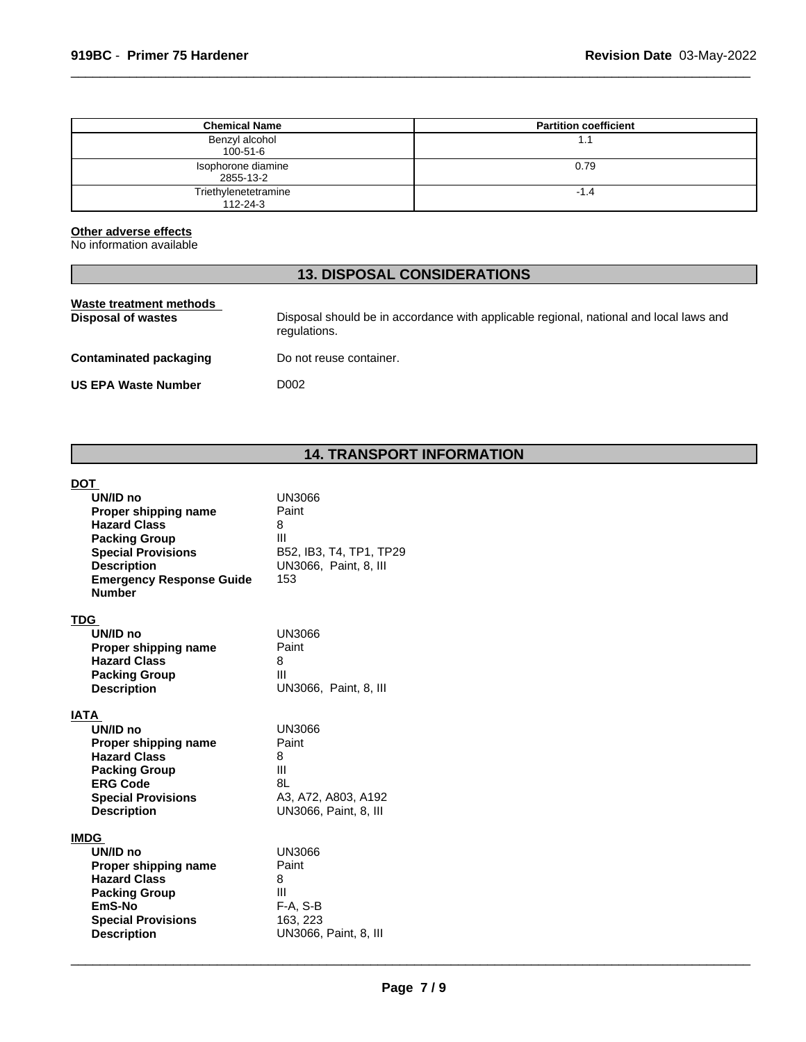| <b>Chemical Name</b>                   | <b>Partition coefficient</b> |
|----------------------------------------|------------------------------|
| Benzyl alcohol<br>100-51-6             | 1.1                          |
| Isophorone diamine<br>2855-13-2        | 0.79                         |
| Triethylenetetramine<br>$112 - 24 - 3$ | -1.4                         |

## **Other adverse effects**

No information available

# **13. DISPOSAL CONSIDERATIONS**

| Waste treatment methods<br>Disposal of wastes | Disposal should be in accordance with applicable regional, national and local laws and<br>regulations. |
|-----------------------------------------------|--------------------------------------------------------------------------------------------------------|
| <b>Contaminated packaging</b>                 | Do not reuse container.                                                                                |
| <b>US EPA Waste Number</b>                    | D002                                                                                                   |
|                                               |                                                                                                        |

# **14. TRANSPORT INFORMATION**

## **DOT**

| UN/ID no<br>Proper shipping name<br><b>Hazard Class</b><br><b>Packing Group</b><br><b>Special Provisions</b><br><b>Description</b><br><b>Emergency Response Guide</b><br><b>Number</b> | <b>UN3066</b><br>Paint<br>8<br>$\mathbf{III}$<br>B52, IB3, T4, TP1, TP29<br>UN3066, Paint, 8, III<br>153 |
|----------------------------------------------------------------------------------------------------------------------------------------------------------------------------------------|----------------------------------------------------------------------------------------------------------|
| TDG                                                                                                                                                                                    |                                                                                                          |
| UN/ID no<br>Proper shipping name                                                                                                                                                       | <b>UN3066</b><br>Paint                                                                                   |
| <b>Hazard Class</b>                                                                                                                                                                    | 8                                                                                                        |
| <b>Packing Group</b>                                                                                                                                                                   | Ш                                                                                                        |
| <b>Description</b>                                                                                                                                                                     | UN3066, Paint, 8, III                                                                                    |
| <b>IATA</b>                                                                                                                                                                            |                                                                                                          |
| UN/ID no                                                                                                                                                                               | UN3066                                                                                                   |
| Proper shipping name<br><b>Hazard Class</b>                                                                                                                                            | Paint<br>8                                                                                               |
| <b>Packing Group</b>                                                                                                                                                                   | Ш                                                                                                        |
| <b>ERG Code</b>                                                                                                                                                                        | 81                                                                                                       |
| <b>Special Provisions</b>                                                                                                                                                              | A3, A72, A803, A192                                                                                      |
| <b>Description</b>                                                                                                                                                                     | UN3066, Paint, 8, III                                                                                    |
| <b>IMDG</b>                                                                                                                                                                            |                                                                                                          |
| UN/ID no<br>Proper shipping name                                                                                                                                                       | UN3066<br>Paint                                                                                          |
| <b>Hazard Class</b>                                                                                                                                                                    | 8                                                                                                        |
| <b>Packing Group</b>                                                                                                                                                                   | Ш                                                                                                        |
| EmS-No                                                                                                                                                                                 | $F-A, S-B$                                                                                               |
| <b>Special Provisions</b><br><b>Description</b>                                                                                                                                        | 163, 223<br>UN3066, Paint, 8, III                                                                        |
|                                                                                                                                                                                        |                                                                                                          |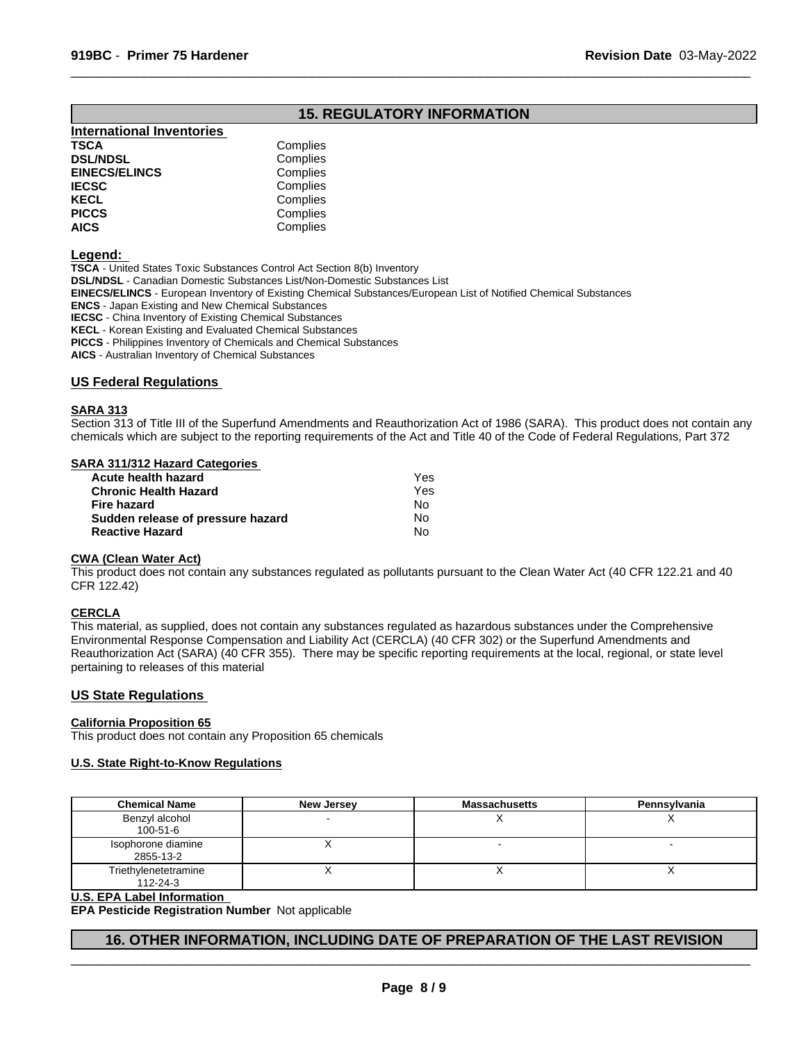# **15. REGULATORY INFORMATION**

 $\overline{\phantom{a}}$  ,  $\overline{\phantom{a}}$  ,  $\overline{\phantom{a}}$  ,  $\overline{\phantom{a}}$  ,  $\overline{\phantom{a}}$  ,  $\overline{\phantom{a}}$  ,  $\overline{\phantom{a}}$  ,  $\overline{\phantom{a}}$  ,  $\overline{\phantom{a}}$  ,  $\overline{\phantom{a}}$  ,  $\overline{\phantom{a}}$  ,  $\overline{\phantom{a}}$  ,  $\overline{\phantom{a}}$  ,  $\overline{\phantom{a}}$  ,  $\overline{\phantom{a}}$  ,  $\overline{\phantom{a}}$ 

| <b>International Inventories</b> |          |
|----------------------------------|----------|
| TSCA                             | Complies |
| <b>DSL/NDSL</b>                  | Complies |
| <b>EINECS/ELINCS</b>             | Complies |
| <b>IECSC</b>                     | Complies |
| KECL                             | Complies |
| <b>PICCS</b>                     | Complies |
| <b>AICS</b>                      | Complies |
|                                  |          |

#### **Legend:**

**TSCA** - United States Toxic Substances Control Act Section 8(b) Inventory **DSL/NDSL** - Canadian Domestic Substances List/Non-Domestic Substances List **EINECS/ELINCS** - European Inventory of Existing Chemical Substances/European List of Notified Chemical Substances **ENCS** - Japan Existing and New Chemical Substances **IECSC** - China Inventory of Existing Chemical Substances **KECL** - Korean Existing and Evaluated Chemical Substances **PICCS** - Philippines Inventory of Chemicals and Chemical Substances

**AICS** - Australian Inventory of Chemical Substances

## **US Federal Regulations**

## **SARA 313**

Section 313 of Title III of the Superfund Amendments and Reauthorization Act of 1986 (SARA). This product does not contain any chemicals which are subject to the reporting requirements of the Act and Title 40 of the Code of Federal Regulations, Part 372

#### **SARA 311/312 Hazard Categories**

| Acute health hazard               | Yes |
|-----------------------------------|-----|
| <b>Chronic Health Hazard</b>      | Yes |
| Fire hazard                       | N٥  |
| Sudden release of pressure hazard | N٥  |
| <b>Reactive Hazard</b>            | N٥  |
|                                   |     |

## **CWA (Clean Water Act)**

This product does not contain any substances regulated as pollutants pursuant to the Clean Water Act (40 CFR 122.21 and 40 CFR 122.42)

#### **CERCLA**

This material, as supplied, does not contain any substances regulated as hazardous substances under the Comprehensive Environmental Response Compensation and Liability Act (CERCLA) (40 CFR 302) or the Superfund Amendments and Reauthorization Act (SARA) (40 CFR 355). There may be specific reporting requirements at the local, regional, or state level pertaining to releases of this material

## **US State Regulations**

## **California Proposition 65**

This product does not contain any Proposition 65 chemicals

## **U.S. State Right-to-Know Regulations**

| <b>Chemical Name</b>             | <b>New Jersey</b> | <b>Massachusetts</b> | Pennsylvania |
|----------------------------------|-------------------|----------------------|--------------|
| Benzyl alcohol<br>$100 - 51 - 6$ |                   |                      |              |
| Isophorone diamine<br>2855-13-2  |                   |                      |              |
| Triethylenetetramine<br>112-24-3 |                   |                      |              |

#### **U.S. EPA Label Information**

**EPA Pesticide Registration Number** Not applicable

## **16. OTHER INFORMATION, INCLUDING DATE OF PREPARATION OF THE LAST REVISION**